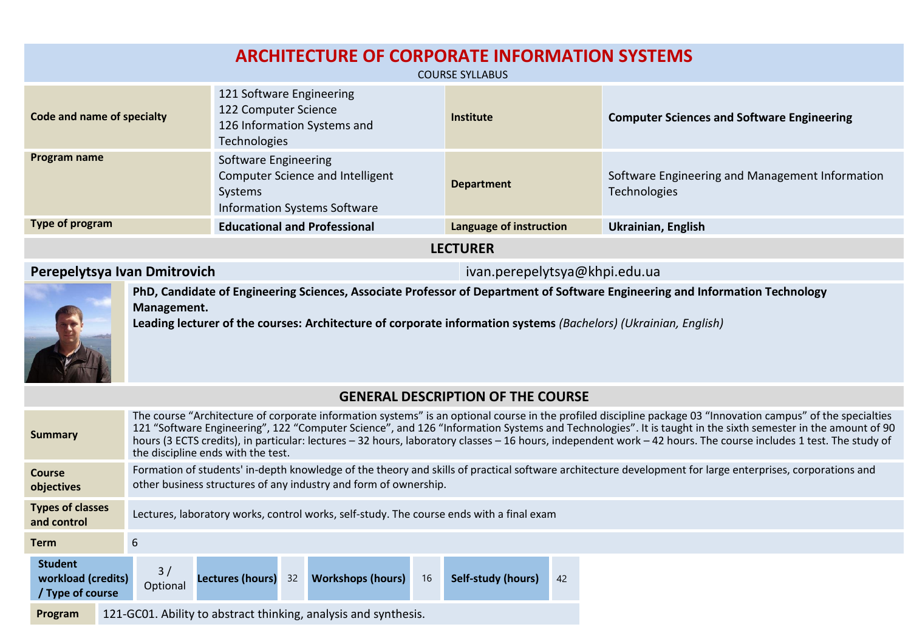| <b>ARCHITECTURE OF CORPORATE INFORMATION SYSTEMS</b><br><b>COURSE SYLLABUS</b> |                                                                                                        |                         |                                                                 |  |  |  |
|--------------------------------------------------------------------------------|--------------------------------------------------------------------------------------------------------|-------------------------|-----------------------------------------------------------------|--|--|--|
| Code and name of specialty                                                     | 121 Software Engineering<br>122 Computer Science<br>126 Information Systems and<br><b>Technologies</b> | <b>Institute</b>        | <b>Computer Sciences and Software Engineering</b>               |  |  |  |
| Program name                                                                   | Software Engineering<br>Computer Science and Intelligent<br>Systems<br>Information Systems Software    | <b>Department</b>       | Software Engineering and Management Information<br>Technologies |  |  |  |
| Type of program                                                                | <b>Educational and Professional</b>                                                                    | Language of instruction | <b>Ukrainian, English</b>                                       |  |  |  |
| <b>LECTURER</b>                                                                |                                                                                                        |                         |                                                                 |  |  |  |

**Perepelytsya Ivan Dmitrovich** ivan.perepelytsya@khpi.edu.ua



**PhD, Candidate of Engineering Sciences, Associate Professor of Department of Software Engineering and Information Technology Management.** 

**Leading lecturer of the courses: Architecture of corporate information systems** *(Bachelors) (Ukrainian, English)*

|  |  | <b>GENERAL DESCRIPTION OF THE COURSE</b> |
|--|--|------------------------------------------|
|--|--|------------------------------------------|

| Summary                                                  | The course "Architecture of corporate information systems" is an optional course in the profiled discipline package 03 "Innovation campus" of the specialties<br>121 "Software Engineering", 122 "Computer Science", and 126 "Information Systems and Technologies". It is taught in the sixth semester in the amount of 90<br>hours (3 ECTS credits), in particular: lectures - 32 hours, laboratory classes - 16 hours, independent work - 42 hours. The course includes 1 test. The study of<br>the discipline ends with the test. |  |  |  |  |
|----------------------------------------------------------|---------------------------------------------------------------------------------------------------------------------------------------------------------------------------------------------------------------------------------------------------------------------------------------------------------------------------------------------------------------------------------------------------------------------------------------------------------------------------------------------------------------------------------------|--|--|--|--|
| <b>Course</b><br>objectives                              | Formation of students' in-depth knowledge of the theory and skills of practical software architecture development for large enterprises, corporations and<br>other business structures of any industry and form of ownership.                                                                                                                                                                                                                                                                                                         |  |  |  |  |
| <b>Types of classes</b><br>and control                   | Lectures, laboratory works, control works, self-study. The course ends with a final exam                                                                                                                                                                                                                                                                                                                                                                                                                                              |  |  |  |  |
| Term                                                     | 6                                                                                                                                                                                                                                                                                                                                                                                                                                                                                                                                     |  |  |  |  |
| <b>Student</b><br>workload (credits)<br>/ Type of course | <b>Workshops (hours)</b><br>16<br>Lectures (hours) 32<br>Self-study (hours)<br>42<br>Optional                                                                                                                                                                                                                                                                                                                                                                                                                                         |  |  |  |  |
| Program                                                  | 121-GC01. Ability to abstract thinking, analysis and synthesis.                                                                                                                                                                                                                                                                                                                                                                                                                                                                       |  |  |  |  |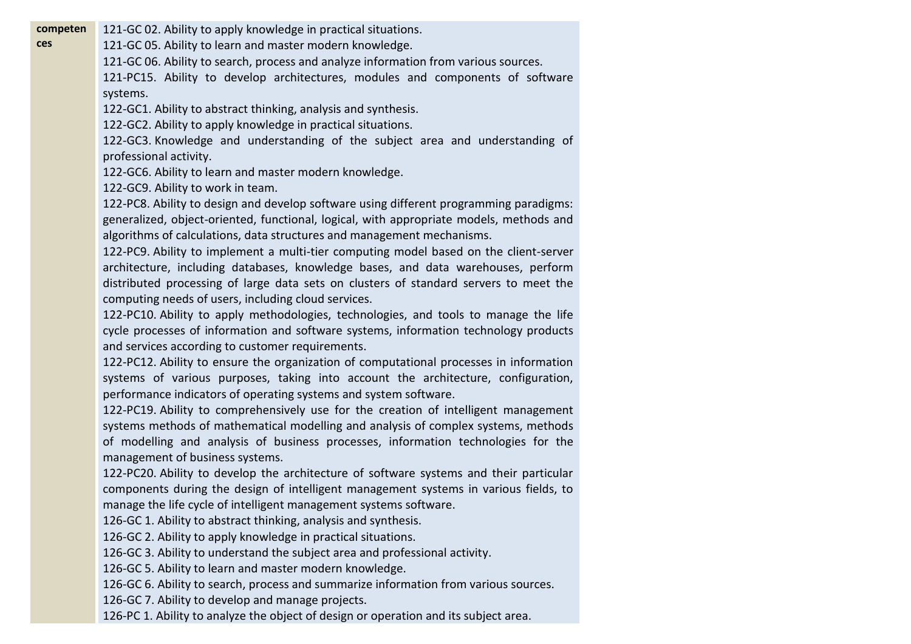**competen** 121-GC 02. Ability to apply knowledge in practical situations.

121-GC 05. Ability to learn and master modern knowledge.

121-GC 06. Ability to search, process and analyze information from various sources.

121-PC15. Ability to develop architectures, modules and components of software systems.

122-GC1. Ability to abstract thinking, analysis and synthesis.

122-GC2. Ability to apply knowledge in practical situations.

122-GC3. Knowledge and understanding of the subject area and understanding of professional activity.

122-GC6. Ability to learn and master modern knowledge.

122-GC9. Ability to work in team.

**ces**

122-PC8. Ability to design and develop software using different programming paradigms: generalized, object-oriented, functional, logical, with appropriate models, methods and algorithms of calculations, data structures and management mechanisms.

122-PC9. Ability to implement a multi-tier computing model based on the client-server architecture, including databases, knowledge bases, and data warehouses, perform distributed processing of large data sets on clusters of standard servers to meet the computing needs of users, including cloud services.

122-PC10. Ability to apply methodologies, technologies, and tools to manage the life cycle processes of information and software systems, information technology products and services according to customer requirements.

122-PC12. Ability to ensure the organization of computational processes in information systems of various purposes, taking into account the architecture, configuration, performance indicators of operating systems and system software.

122-PC19. Ability to comprehensively use for the creation of intelligent management systems methods of mathematical modelling and analysis of complex systems, methods of modelling and analysis of business processes, information technologies for the management of business systems.

122-PC20. Ability to develop the architecture of software systems and their particular components during the design of intelligent management systems in various fields, to manage the life cycle of intelligent management systems software.

126-GC 1. Ability to abstract thinking, analysis and synthesis.

126-GC 2. Ability to apply knowledge in practical situations.

126-GC 3. Ability to understand the subject area and professional activity.

126-GC 5. Ability to learn and master modern knowledge.

126-GC 6. Ability to search, process and summarize information from various sources.

126-GC 7. Ability to develop and manage projects.

126-PC 1. Ability to analyze the object of design or operation and its subject area.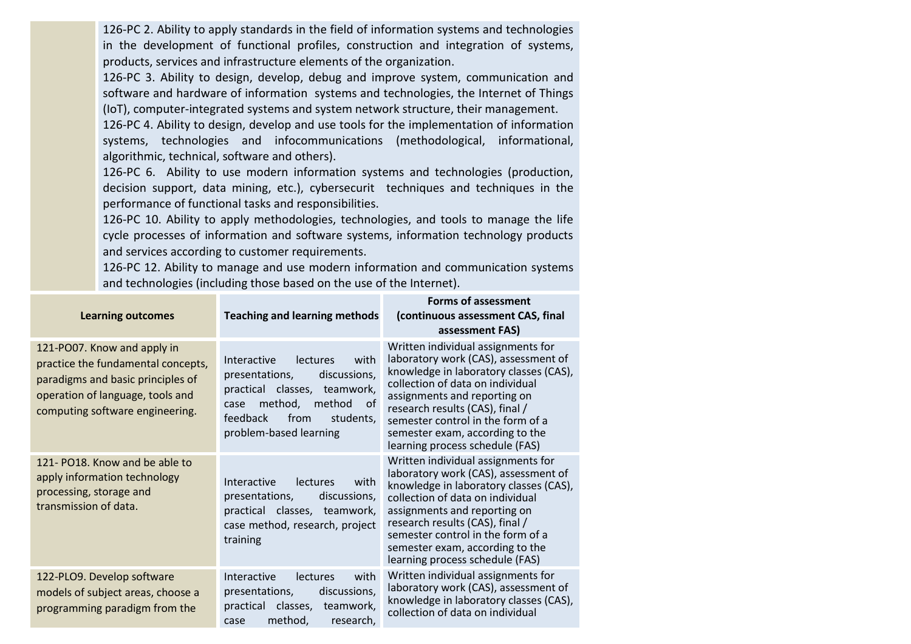126-PC 2. Ability to apply standards in the field of information systems and technologies in the development of functional profiles, construction and integration of systems, products, services and infrastructure elements of the organization.

126-PC 3. Ability to design, develop, debug and improve system, communication and software and hardware of information systems and technologies, the Internet of Things (IoT), computer-integrated systems and system network structure, their management.

126-PC 4. Ability to design, develop and use tools for the implementation of information systems, technologies and infocommunications (methodological, informational, algorithmic, technical, software and others).

126-PC 6. Ability to use modern information systems and technologies (production, decision support, data mining, etc.), cybersecurit techniques and techniques in the performance of functional tasks and responsibilities.

126-PC 10. Ability to apply methodologies, technologies, and tools to manage the life cycle processes of information and software systems, information technology products and services according to customer requirements.

126-PC 12. Ability to manage and use modern information and communication systems and technologies (including those based on the use of the Internet).

| <b>Learning outcomes</b>                                                                                                                                                      | <b>Teaching and learning methods</b>                                                                                                                                                         | <b>Forms of assessment</b><br>(continuous assessment CAS, final<br>assessment FAS)                                                                                                                                                                                                                                                     |  |
|-------------------------------------------------------------------------------------------------------------------------------------------------------------------------------|----------------------------------------------------------------------------------------------------------------------------------------------------------------------------------------------|----------------------------------------------------------------------------------------------------------------------------------------------------------------------------------------------------------------------------------------------------------------------------------------------------------------------------------------|--|
| 121-PO07. Know and apply in<br>practice the fundamental concepts,<br>paradigms and basic principles of<br>operation of language, tools and<br>computing software engineering. | Interactive<br>lectures<br>with<br>discussions,<br>presentations,<br>practical classes, teamwork,<br>method, method<br>of<br>case<br>feedback<br>from<br>students,<br>problem-based learning | Written individual assignments for<br>laboratory work (CAS), assessment of<br>knowledge in laboratory classes (CAS),<br>collection of data on individual<br>assignments and reporting on<br>research results (CAS), final /<br>semester control in the form of a<br>semester exam, according to the<br>learning process schedule (FAS) |  |
| 121- PO18. Know and be able to<br>apply information technology<br>processing, storage and<br>transmission of data.                                                            | Interactive<br>with<br>lectures<br>presentations,<br>discussions,<br>practical classes, teamwork,<br>case method, research, project<br>training                                              | Written individual assignments for<br>laboratory work (CAS), assessment of<br>knowledge in laboratory classes (CAS),<br>collection of data on individual<br>assignments and reporting on<br>research results (CAS), final /<br>semester control in the form of a<br>semester exam, according to the<br>learning process schedule (FAS) |  |
| 122-PLO9. Develop software<br>models of subject areas, choose a<br>programming paradigm from the                                                                              | Interactive<br>lectures<br>with<br>presentations,<br>discussions,<br>practical classes,<br>teamwork,<br>method,<br>research,<br>case                                                         | Written individual assignments for<br>laboratory work (CAS), assessment of<br>knowledge in laboratory classes (CAS),<br>collection of data on individual                                                                                                                                                                               |  |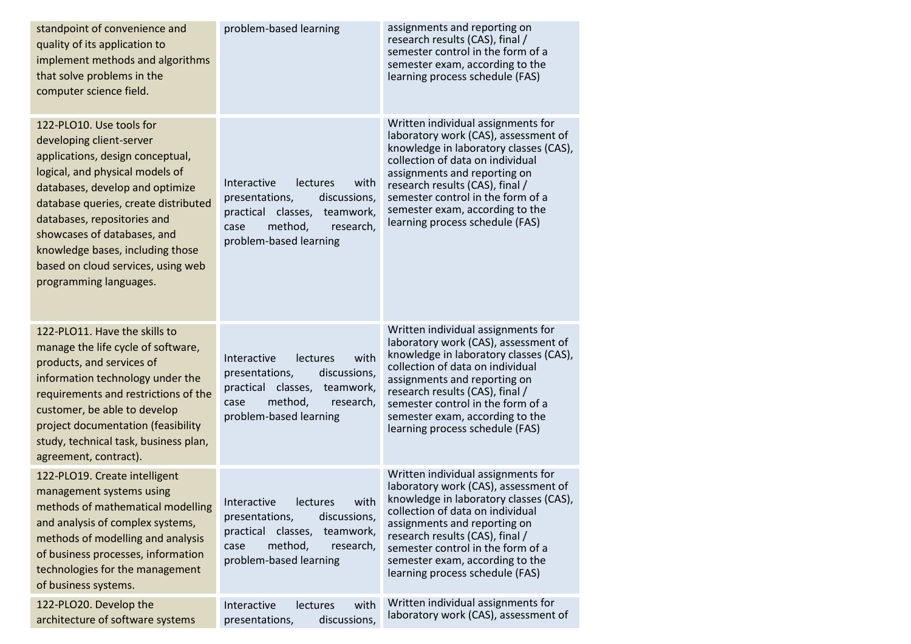| standpoint of convenience and<br>quality of its application to<br>implement methods and algorithms<br>that solve problems in the<br>computer science field.                                                                                                                                                                                                              | problem-based learning                                                                                                                                                | assignments and reporting on<br>research results (CAS), final /<br>semester control in the form of a<br>semester exam, according to the<br>learning process schedule (FAS)                                                                                                                                                             |
|--------------------------------------------------------------------------------------------------------------------------------------------------------------------------------------------------------------------------------------------------------------------------------------------------------------------------------------------------------------------------|-----------------------------------------------------------------------------------------------------------------------------------------------------------------------|----------------------------------------------------------------------------------------------------------------------------------------------------------------------------------------------------------------------------------------------------------------------------------------------------------------------------------------|
| 122-PLO10. Use tools for<br>developing client-server<br>applications, design conceptual,<br>logical, and physical models of<br>databases, develop and optimize<br>database queries, create distributed<br>databases, repositories and<br>showcases of databases, and<br>knowledge bases, including those<br>based on cloud services, using web<br>programming languages. | Interactive<br>lectures<br>with<br>presentations,<br>discussions,<br>practical classes, teamwork,<br>method,<br>research,<br>case<br>problem-based learning           | Written individual assignments for<br>laboratory work (CAS), assessment of<br>knowledge in laboratory classes (CAS),<br>collection of data on individual<br>assignments and reporting on<br>research results (CAS), final /<br>semester control in the form of a<br>semester exam, according to the<br>learning process schedule (FAS) |
| 122-PLO11. Have the skills to<br>manage the life cycle of software,<br>products, and services of<br>information technology under the<br>requirements and restrictions of the<br>customer, be able to develop<br>project documentation (feasibility<br>study, technical task, business plan,<br>agreement, contract).                                                     | Interactive<br>with<br><b>lectures</b><br>presentations,<br>discussions,<br>practical classes, teamwork,<br>method,<br>case<br>research,<br>problem-based learning    | Written individual assignments for<br>laboratory work (CAS), assessment of<br>knowledge in laboratory classes (CAS),<br>collection of data on individual<br>assignments and reporting on<br>research results (CAS), final /<br>semester control in the form of a<br>semester exam, according to the<br>learning process schedule (FAS) |
| 122-PLO19. Create intelligent<br>management systems using<br>methods of mathematical modelling<br>and analysis of complex systems,<br>methods of modelling and analysis<br>of business processes, information<br>technologies for the management<br>of business systems.                                                                                                 | with<br>Interactive<br><b>lectures</b><br>presentations,<br>discussions,<br>practical classes,<br>teamwork,<br>method,<br>research,<br>case<br>problem-based learning | Written individual assignments for<br>laboratory work (CAS), assessment of<br>knowledge in laboratory classes (CAS),<br>collection of data on individual<br>assignments and reporting on<br>research results (CAS), final /<br>semester control in the form of a<br>semester exam, according to the<br>learning process schedule (FAS) |
| 122-PLO20. Develop the<br>architecture of software systems                                                                                                                                                                                                                                                                                                               | Interactive<br>lectures<br>with<br>discussions,<br>presentations,                                                                                                     | Written individual assignments for<br>laboratory work (CAS), assessment of                                                                                                                                                                                                                                                             |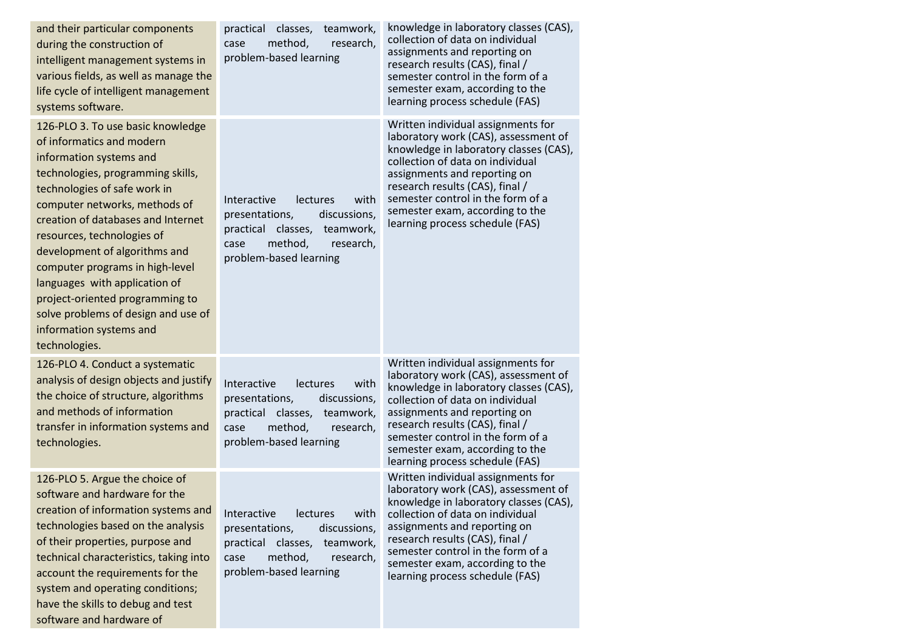| and their particular components<br>during the construction of<br>intelligent management systems in<br>various fields, as well as manage the<br>life cycle of intelligent management<br>systems software.                                                                                                                                                                                                                                                                                       | practical classes,<br>teamwork,<br>method,<br>research,<br>case<br>problem-based learning                                                                      | knowledge in laboratory classes (CAS),<br>collection of data on individual<br>assignments and reporting on<br>research results (CAS), final /<br>semester control in the form of a<br>semester exam, according to the<br>learning process schedule (FAS)                                                                               |
|------------------------------------------------------------------------------------------------------------------------------------------------------------------------------------------------------------------------------------------------------------------------------------------------------------------------------------------------------------------------------------------------------------------------------------------------------------------------------------------------|----------------------------------------------------------------------------------------------------------------------------------------------------------------|----------------------------------------------------------------------------------------------------------------------------------------------------------------------------------------------------------------------------------------------------------------------------------------------------------------------------------------|
| 126-PLO 3. To use basic knowledge<br>of informatics and modern<br>information systems and<br>technologies, programming skills,<br>technologies of safe work in<br>computer networks, methods of<br>creation of databases and Internet<br>resources, technologies of<br>development of algorithms and<br>computer programs in high-level<br>languages with application of<br>project-oriented programming to<br>solve problems of design and use of<br>information systems and<br>technologies. | Interactive<br>with<br>lectures<br>discussions,<br>presentations,<br>practical classes, teamwork,<br>method,<br>research,<br>case<br>problem-based learning    | Written individual assignments for<br>laboratory work (CAS), assessment of<br>knowledge in laboratory classes (CAS),<br>collection of data on individual<br>assignments and reporting on<br>research results (CAS), final /<br>semester control in the form of a<br>semester exam, according to the<br>learning process schedule (FAS) |
| 126-PLO 4. Conduct a systematic<br>analysis of design objects and justify<br>the choice of structure, algorithms<br>and methods of information<br>transfer in information systems and<br>technologies.                                                                                                                                                                                                                                                                                         | Interactive<br>lectures<br>with<br>presentations,<br>discussions,<br>practical classes,<br>teamwork,<br>method,<br>case<br>research,<br>problem-based learning | Written individual assignments for<br>laboratory work (CAS), assessment of<br>knowledge in laboratory classes (CAS),<br>collection of data on individual<br>assignments and reporting on<br>research results (CAS), final /<br>semester control in the form of a<br>semester exam, according to the<br>learning process schedule (FAS) |
| 126-PLO 5. Argue the choice of<br>software and hardware for the<br>creation of information systems and<br>technologies based on the analysis<br>of their properties, purpose and<br>technical characteristics, taking into<br>account the requirements for the<br>system and operating conditions;<br>have the skills to debug and test<br>software and hardware of                                                                                                                            | Interactive<br>lectures<br>with<br>presentations,<br>discussions,<br>practical classes,<br>teamwork,<br>method,<br>case<br>research,<br>problem-based learning | Written individual assignments for<br>laboratory work (CAS), assessment of<br>knowledge in laboratory classes (CAS),<br>collection of data on individual<br>assignments and reporting on<br>research results (CAS), final /<br>semester control in the form of a<br>semester exam, according to the<br>learning process schedule (FAS) |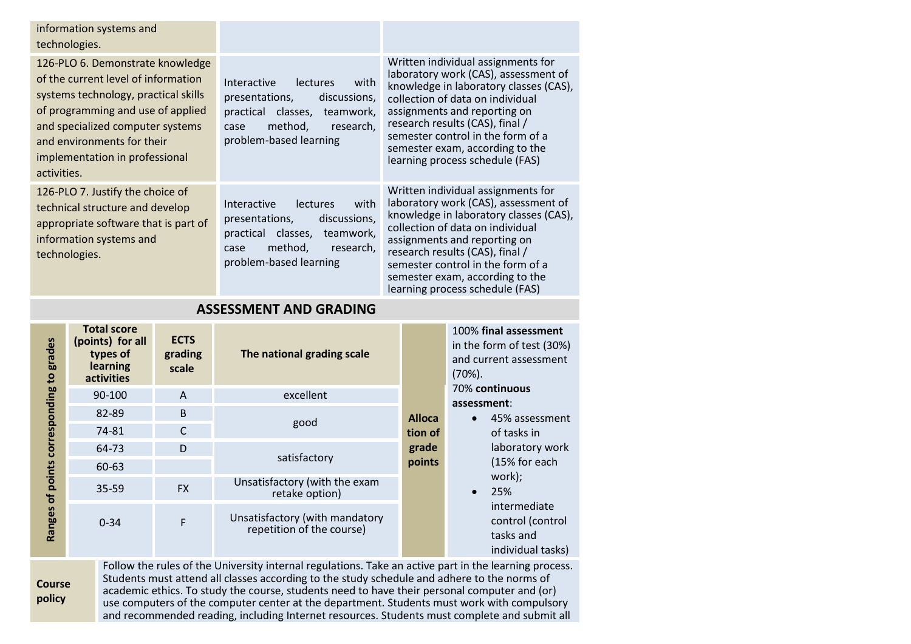| information systems and<br>technologies.                                                                                                                                                                                                                                |                                                                                                                                                                   |                                                                                                                                                                                                                                                                                                                                        |
|-------------------------------------------------------------------------------------------------------------------------------------------------------------------------------------------------------------------------------------------------------------------------|-------------------------------------------------------------------------------------------------------------------------------------------------------------------|----------------------------------------------------------------------------------------------------------------------------------------------------------------------------------------------------------------------------------------------------------------------------------------------------------------------------------------|
| 126-PLO 6. Demonstrate knowledge<br>of the current level of information<br>systems technology, practical skills<br>of programming and use of applied<br>and specialized computer systems<br>and environments for their<br>implementation in professional<br>activities. | Interactive<br>lectures<br>with<br>presentations,<br>discussions,<br>practical classes,<br>teamwork,<br>method,<br>research.<br>case<br>problem-based learning    | Written individual assignments for<br>laboratory work (CAS), assessment of<br>knowledge in laboratory classes (CAS),<br>collection of data on individual<br>assignments and reporting on<br>research results (CAS), final /<br>semester control in the form of a<br>semester exam, according to the<br>learning process schedule (FAS) |
| 126-PLO 7. Justify the choice of<br>technical structure and develop<br>appropriate software that is part of<br>information systems and<br>technologies.                                                                                                                 | lectures<br>with<br>Interactive<br>presentations,<br>discussions,<br>practical<br>classes,<br>teamwork,<br>method,<br>research,<br>case<br>problem-based learning | Written individual assignments for<br>laboratory work (CAS), assessment of<br>knowledge in laboratory classes (CAS),<br>collection of data on individual<br>assignments and reporting on<br>research results (CAS), final /<br>semester control in the form of a<br>semester exam, according to the<br>learning process schedule (FAS) |

| <b>ASSESSIVIEN LAND URADING</b> |                                                                                     |                                 |                                                             |               |                                                                                                                            |
|---------------------------------|-------------------------------------------------------------------------------------|---------------------------------|-------------------------------------------------------------|---------------|----------------------------------------------------------------------------------------------------------------------------|
| grades<br>$\mathbf{e}$          | <b>Total score</b><br>(points) for all<br>types of<br>learning<br><b>activities</b> | <b>ECTS</b><br>grading<br>scale | The national grading scale                                  |               | 100% final assessment<br>in the form of test (30%)<br>and current assessment<br>$(70%)$ .<br>70% continuous<br>assessment: |
|                                 | 90-100                                                                              | $\mathsf{A}$                    | excellent                                                   |               |                                                                                                                            |
| corresponding                   | 82-89                                                                               | B                               | good<br>satisfactory                                        | <b>Alloca</b> | 45% assessment<br>$\bullet$                                                                                                |
|                                 | 74-81                                                                               | $\mathsf{C}$                    |                                                             | tion of       | of tasks in<br>laboratory work<br>(15% for each<br>work);<br>25%<br>$\bullet$                                              |
|                                 | 64-73                                                                               | D                               |                                                             | grade         |                                                                                                                            |
|                                 | 60-63                                                                               |                                 |                                                             | points        |                                                                                                                            |
|                                 | $35 - 59$                                                                           | <b>FX</b>                       | Unsatisfactory (with the exam<br>retake option)             |               |                                                                                                                            |
|                                 | Ranges of points<br>$0 - 34$                                                        | F                               | Unsatisfactory (with mandatory<br>repetition of the course) |               | intermediate<br>control (control<br>tasks and<br>individual tasks)                                                         |

## **ASSESSMENT AND GRADING**

## **Course policy**

Follow the rules of the University internal regulations. Take an active part in the learning process. Students must attend all classes according to the study schedule and adhere to the norms of academic ethics. To study the course, students need to have their personal computer and (or) use computers of the computer center at the department. Students must work with compulsory and recommended reading, including Internet resources. Students must complete and submit all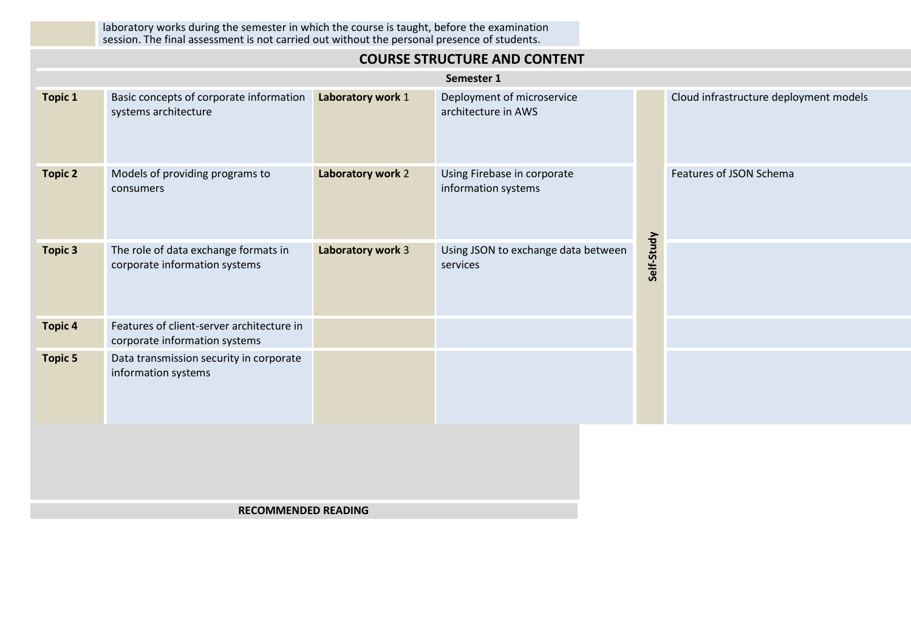laboratory works during the semester in which the course is taught, before the examination session. The final assessment is not carried out without the personal presence of students.

| <b>COURSE STRUCTURE AND CONTENT</b> |                                                                            |                   |                                                    |            |                                        |  |  |  |
|-------------------------------------|----------------------------------------------------------------------------|-------------------|----------------------------------------------------|------------|----------------------------------------|--|--|--|
|                                     | Semester 1                                                                 |                   |                                                    |            |                                        |  |  |  |
| <b>Topic 1</b>                      | Basic concepts of corporate information<br>systems architecture            | Laboratory work 1 | Deployment of microservice<br>architecture in AWS  |            | Cloud infrastructure deployment models |  |  |  |
| <b>Topic 2</b>                      | Models of providing programs to<br>consumers                               | Laboratory work 2 | Using Firebase in corporate<br>information systems |            | Features of JSON Schema                |  |  |  |
| <b>Topic 3</b>                      | The role of data exchange formats in<br>corporate information systems      | Laboratory work 3 | Using JSON to exchange data between<br>services    | Self-Study |                                        |  |  |  |
| <b>Topic 4</b>                      | Features of client-server architecture in<br>corporate information systems |                   |                                                    |            |                                        |  |  |  |
| <b>Topic 5</b>                      | Data transmission security in corporate<br>information systems             |                   |                                                    |            |                                        |  |  |  |
|                                     |                                                                            |                   |                                                    |            |                                        |  |  |  |

## **RECOMMENDED READING**